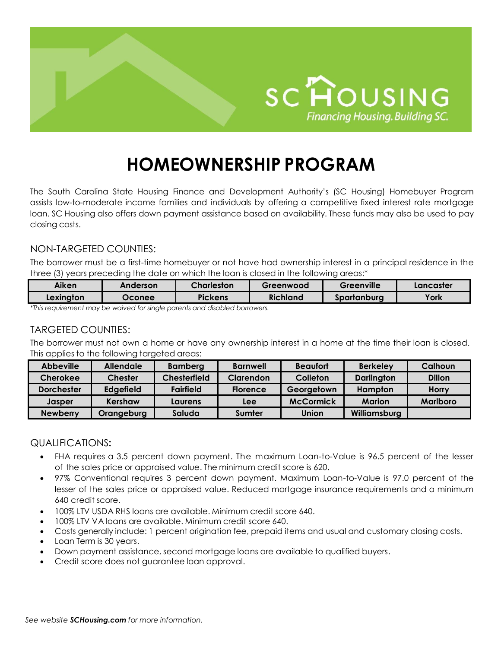

# **HOMEOWNERSHIP PROGRAM**

The South Carolina State Housing Finance and Development Authority's (SC Housing) Homebuyer Program assists low-to-moderate income families and individuals by offering a competitive fixed interest rate mortgage loan. SC Housing also offers down payment assistance based on availability. These funds may also be used to pay closing costs.

## NON-TARGETED COUNTIES:

The borrower must be a first-time homebuyer or not have had ownership interest in a principal residence in the three (3) years preceding the date on which the loan is closed in the following areas:\*

| Aiken     | Anderson | Charleston     | Greenwood | Greenville  | Lancaster |
|-----------|----------|----------------|-----------|-------------|-----------|
| Lexinaton | Oconee   | <b>Pickens</b> | Richland  | Spartanburg | York      |

*\*This requirement may be waived for single parents and disabled borrowers.*

## TARGETED COUNTIES:

The borrower must not own a home or have any ownership interest in a home at the time their loan is closed. This applies to the following targeted areas:

| <b>Abbeville</b>  | <b>Allendale</b> | <b>Bamberg</b>      | <b>Barnwell</b> | <b>Beaufort</b>  | <b>Berkeley</b>   | Calhoun         |
|-------------------|------------------|---------------------|-----------------|------------------|-------------------|-----------------|
| <b>Cherokee</b>   | <b>Chester</b>   | <b>Chesterfield</b> | Clarendon       | Colleton         | <b>Darlington</b> | <b>Dillon</b>   |
| <b>Dorchester</b> | Edgefield        | <b>Fairfield</b>    | <b>Florence</b> | Georgetown       | Hampton           | <b>Horry</b>    |
| Jasper            | Kershaw          | Laurens             | Lee             | <b>McCormick</b> | <b>Marion</b>     | <b>Marlboro</b> |
| <b>Newberry</b>   | Orangeburg       | Saluda              | Sumter          | Union            | Williamsburg      |                 |

### QUALIFICATIONS**:**

- FHA requires a 3.5 percent down payment. The maximum Loan-to-Value is 96.5 percent of the lesser of the sales price or appraised value. The minimum credit score is 620.
- 97% Conventional requires 3 percent down payment. Maximum Loan-to-Value is 97.0 percent of the lesser of the sales price or appraised value. Reduced mortgage insurance requirements and a minimum 640 credit score.
- 100% LTV USDA RHS loans are available. Minimum credit score 640.
- 100% LTV VA loans are available. Minimum credit score 640.
- Costs generally include: 1 percent origination fee, prepaid items and usual and customary closing costs.
- Loan Term is 30 years.
- Down payment assistance, second mortgage loans are available to qualified buyers.
- Credit score does not guarantee loan approval.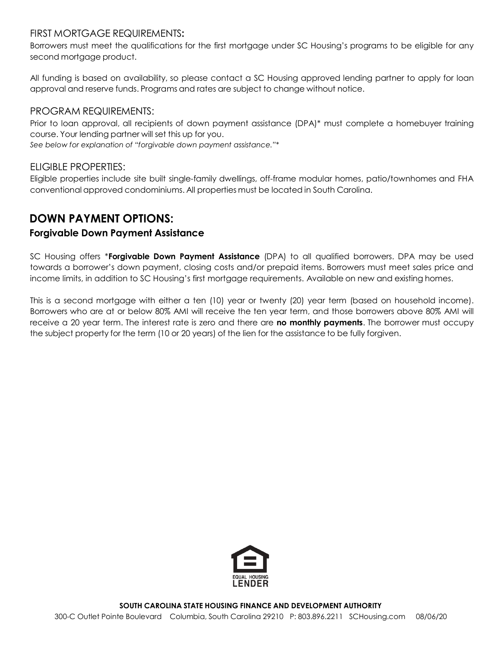### FIRST MORTGAGE REQUIREMENTS**:**

Borrowers must meet the qualifications for the first mortgage under SC Housing's programs to be eligible for any second mortgage product.

All funding is based on availability, so please contact a SC Housing approved lending partner to apply for loan approval and reserve funds. Programs and rates are subject to change without notice.

## PROGRAM REQUIREMENTS:

Prior to loan approval, all recipients of down payment assistance (DPA)\* must complete a homebuyer training course. Your lending partner will set this up for you.

*See below for explanation of "forgivable down payment assistance."\**

### ELIGIBLE PROPERTIES:

Eligible properties include site built single-family dwellings, off-frame modular homes, patio/townhomes and FHA conventional approved condominiums. All properties must be located in South Carolina.

## **DOWN PAYMENT OPTIONS:**

## **Forgivable Down Payment Assistance**

SC Housing offers \***Forgivable Down Payment Assistance** (DPA) to all qualified borrowers. DPA may be used towards a borrower's down payment, closing costs and/or prepaid items. Borrowers must meet sales price and income limits, in addition to SC Housing's first mortgage requirements. Available on new and existing homes.

This is a second mortgage with either a ten (10) year or twenty (20) year term (based on household income). Borrowers who are at or below 80% AMI will receive the ten year term, and those borrowers above 80% AMI will receive a 20 year term. The interest rate is zero and there are **no monthly payments**. The borrower must occupy the subject property for the term (10 or 20 years) of the lien for the assistance to be fully forgiven.